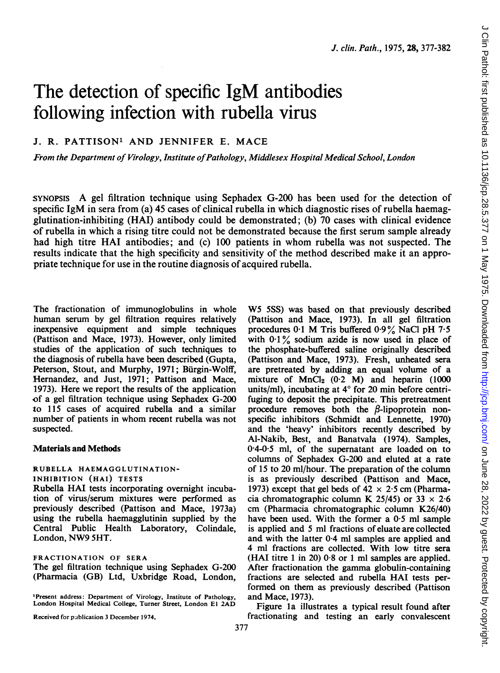# The detection of specific IgM antibodies following infection with rubella virus

# J. R. PATTISON' AND JENNIFER E. MACE

From the Department of Virology, Institute of Pathology, Middlesex Hospital Medical School, London

SYNOPSIS A gel filtration technique using Sephadex G-200 has been used for the detection of specific IgM in sera from (a) 45 cases of clinical rubella in which diagnostic rises of rubella haemagglutination-inhibiting (HAI) antibody could be demonstrated; (b) 70 cases with clinical evidence of rubella in which a rising titre could not be demonstrated because the first serum sample already had high titre HAI antibodies; and (c) 100 patients in whom rubella was not suspected. The results indicate that the high specificity and sensitivity of the method described make it an appropriate technique for use in the routine diagnosis of acquired rubella.

The fractionation of immunoglobulins in whole human serum by gel filtration requires relatively inexpensive equipment and simple techniques (Pattison and Mace, 1973). However, only limited studies of the application of such techniques to the diagnosis of rubella have been described (Gupta, Peterson, Stout, and Murphy, 1971; Bürgin-Wolff, Hernandez, and Just, 1971; Pattison and Mace, 1973). Here we report the results of the application of a gel filtration technique using Sephadex G-200 to 115 cases of acquired rubella and a similar number of patients in whom recent rubella was not suspected.

# Materials and Methods

### RUBELLA HAEMAGGLUTINATION-INHIBITION (HAI) TESTS

Rubella HAI tests incorporating overnight incubation of virus/serum mixtures were performed as previously described (Pattison and Mace, 1973a) using the rubella haemagglutinin supplied by the Central Public Health Laboratory, Colindale, London, NW9 5HT.

#### FRACTIONATION OF SERA

The gel filtration technique using Sephadex G-200 (Pharmacia (GB) Ltd, Uxbridge Road, London,

'Present address: Department of Virology, Institute of Pathology, London Hospital Medical College, Turner Street, London El 2AD

Received for publication 3 December 1974.

W5 5SS) was based on that previously described (Pattison and Mace, 1973). In all gel filtration procedures  $0.1$  M Tris buffered  $0.9\%$  NaCl pH  $7.5$ with  $0.1\%$  sodium azide is now used in place of the phosphate-buffered saline originally described (Pattison and Mace, 1973). Fresh, unheated sera are pretreated by adding an equal volume of a mixture of  $MnCl<sub>2</sub>$  (0.2 M) and heparin (1000 units/ml), incubating at  $4^{\circ}$  for 20 min before centrifuging to deposit the precipitate. This pretreatment procedure removes both the  $\beta$ -lipoprotein nonspecific inhibitors (Schmidt and Lennette, 1970) and the 'heavy' inhibitors recently described by Al-Nakib, Best, and Banatvala (1974). Samples, 04-0-5 ml, of the supernatant are loaded on to columns of Sephadex G-200 and eluted at a rate of 15 to 20 ml/hour. The preparation of the column is as previously described (Pattison and Mace, 1973) except that gel beds of  $42 \times 2.5$  cm (Pharmacia chromatographic column K 25/45) or  $33 \times 2.6$ cm (Pharmacia chromatographic column K26/40) have been used. With the former a 0-5 ml sample is applied and 5 ml fractions of eluate are collected and with the latter 0-4 ml samples are applied and 4 ml fractions are collected. With low titre sera (HAI titre <sup>1</sup> in 20) 0-8 or <sup>1</sup> ml samples are applied. After fractionation the gamma globulin-containing fractions are selected and rubella HAI tests performed on them as previously described (Pattison and Mace, 1973).

Figure la illustrates a typical result found after fractionating and testing an early convalescent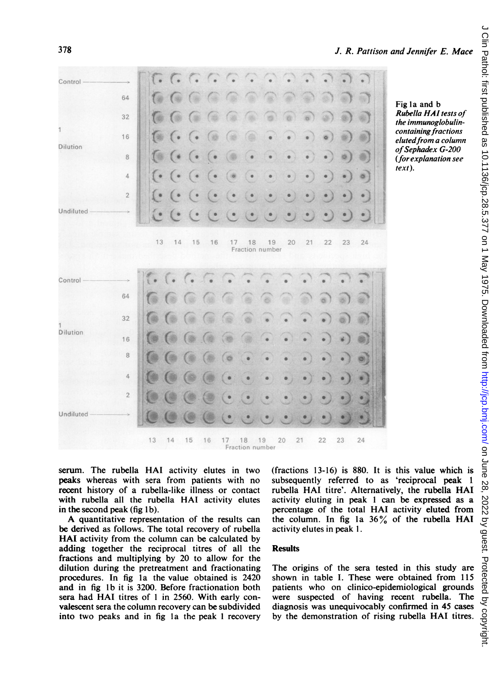| Control-                        |                |                                                         |                           |                                                                                                                                                                                              |           | $\left[ \begin{array}{ccc} 0 & 0 & 0 \\ 0 & 0 & 0 \end{array} \right]$ |           |             |                              |                         |                         |
|---------------------------------|----------------|---------------------------------------------------------|---------------------------|----------------------------------------------------------------------------------------------------------------------------------------------------------------------------------------------|-----------|------------------------------------------------------------------------|-----------|-------------|------------------------------|-------------------------|-------------------------|
|                                 | 64             | $\mathcal{L}_{\mathcal{B}}$ $\mathcal{L}_{\mathcal{B}}$ | C.                        |                                                                                                                                                                                              | a a       | G.                                                                     | e e       |             |                              |                         |                         |
| $\mathbf{1}$<br><b>Dilution</b> | 32             |                                                         |                           |                                                                                                                                                                                              |           |                                                                        |           | $\alpha$    |                              |                         |                         |
|                                 | 16             | 1960 (* (*                                              | C abi                     | <b>Barbar</b>                                                                                                                                                                                |           |                                                                        |           |             | $\bullet$                    |                         |                         |
|                                 | 8              |                                                         | $\mathbb{G}$ (* (* (* )   | <b>OB</b>                                                                                                                                                                                    |           |                                                                        | $\bullet$ | $\bullet$   |                              |                         |                         |
|                                 | $\overline{4}$ |                                                         |                           | $\left(\bullet\right)\left(\bullet\right)\left(\bullet\right)\left(\bullet\right)\left(\bullet\right)\left(\bullet\right)$                                                                   |           | $\bullet$ .                                                            | $\bullet$ | $\bullet$   | $\bullet$ )                  |                         | $\bullet$ ) $\circ$ )   |
|                                 | $\overline{2}$ |                                                         |                           |                                                                                                                                                                                              |           |                                                                        |           | $\bullet$   | $\bullet$ }                  |                         | $\bullet$ ) $\bullet$ ) |
| Undiluted                       |                |                                                         |                           | $C^{\bullet}$ $C^{\bullet}$ $C^{\bullet}$ $C^{\bullet}$                                                                                                                                      |           | ن ن ن                                                                  |           |             | $\cdot$ ) $\cdot$ ) $\cdot$  |                         |                         |
| Control-                        |                |                                                         |                           |                                                                                                                                                                                              |           |                                                                        |           |             |                              |                         |                         |
|                                 |                |                                                         |                           |                                                                                                                                                                                              |           |                                                                        |           |             |                              |                         |                         |
|                                 | 64             |                                                         | 1966 G G G G              |                                                                                                                                                                                              | ⊛         | $\circledast$                                                          | ٦         | W)          | $\circ$                      |                         |                         |
|                                 | 32             |                                                         | <b>10 10 (a (a (a (a)</b> |                                                                                                                                                                                              | G         | $\overline{\phantom{a}}$                                               | $\cdot$   | $\bullet$   | $\bullet$ ) $\circledcirc$ ) |                         |                         |
| <b>Dilution</b>                 | 16             | $\omega$ (a                                             | (a, a)                    |                                                                                                                                                                                              |           |                                                                        |           |             |                              | $\rightarrow$           |                         |
|                                 | $\,8\,$        | $\bullet$ $\bullet$                                     | $\circ$                   |                                                                                                                                                                                              |           | $\bullet$                                                              |           | $\bullet$   | $\bullet$                    | $\bullet$               | $\circ$                 |
|                                 | $\overline{4}$ | $\bullet$                                               | $\circ$                   |                                                                                                                                                                                              | $\bullet$ | $\bullet$                                                              | $\bullet$ | $\bullet$ ) | $\bullet$ )                  | $\bullet$ ) $\bullet$ ) |                         |
|                                 | $2^{\circ}$    | $\bigcirc$                                              |                           | $\left(\begin{matrix} 0\\ 0\\ 0\\ 0\\ \end{matrix}\right) \left(\begin{matrix} 0\\ 0\\ 0\\ 0\\ 0\\ \end{matrix}\right) \left(\begin{matrix} 0\\ 0\\ 0\\ 0\\ 0\\ 0\\ 0\\ \end{matrix}\right)$ |           | $\ddot{\phantom{1}}$                                                   | $\bullet$ |             |                              |                         |                         |
| <b>Undiluted</b>                |                |                                                         |                           |                                                                                                                                                                                              |           |                                                                        |           |             |                              |                         |                         |
|                                 |                |                                                         |                           |                                                                                                                                                                                              |           | 13  14  15  16  17  18  19  20<br>Fraction number                      |           | 21          | 22                           | 23                      | 24                      |

Fig la and b Rubella HAI tests of the immunoglobulincontaining fractions eluted from a column of Sephadex G-200 (for explanation see  $text$ ).

serum. The rubella HAI activity elutes in two peaks whereas with sera from patients with no recent history of a rubella-like illness or contact with rubella all the rubella HAI activity elutes in the second peak (fig 1b).

A quantitative representation of the results can be derived as follows. The total recovery of rubella **HAI** activity from the column can be calculated by adding together the reciprocal titres of all the fractions and multiplying by 20 to allow for the dilution during the pretreatment and fractionating procedures. In fig 1a the value obtained is 2420 and in fig 1b it is 3200. Before fractionation both sera had HAI titres of 1 in 2560. With early convalescent sera the column recovery can be subdivided into two peaks and in fig 1a the peak 1 recovery (fractions 13-16) is 880. It is this value which is subsequently referred to as 'reciprocal peak 1 rubella HAI titre'. Alternatively, the rubella HAI activity eluting in peak 1 can be expressed as a percentage of the total HAI activity eluted from the column. In fig 1a  $36\%$  of the rubella HAI activity elutes in peak 1.

# **Results**

The origins of the sera tested in this study are shown in table I. These were obtained from 115 patients who on clinico-epidemiological grounds were suspected of having recent rubella. The diagnosis was unequivocably confirmed in 45 cases by the demonstration of rising rubella HAI titres.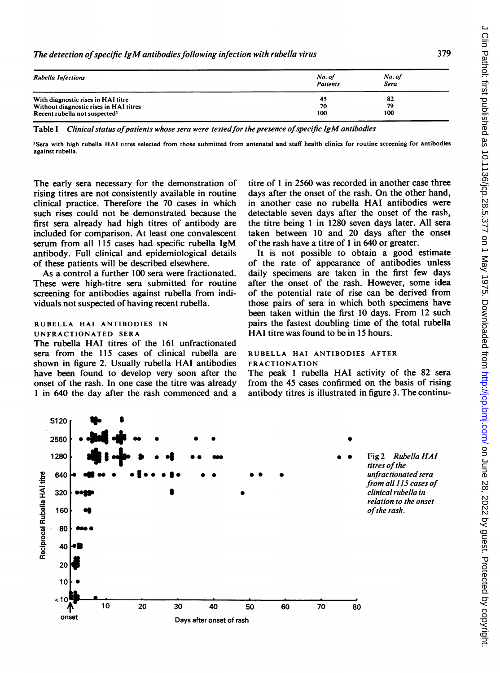| <b>Rubella Infections</b>                 | No. of<br><b>Patients</b> | No. of<br>Sera |  |
|-------------------------------------------|---------------------------|----------------|--|
| With diagnostic rises in HAI titre        | 45                        | 82             |  |
| Without diagnostic rises in HAI titres    | 70                        | 79             |  |
| Recent rubella not suspected <sup>1</sup> | 100                       | 100            |  |

Table I Clinical status of patients whose sera were tested for the presence of specific IgM antibodies

'Sera with high rubella HAI titres selected from those submitted from antenatal and staff health clinics for routine screening for antibodies against rubella.

The early sera necessary for the demonstration of rising titres are not consistently available in routine clinical practice. Therefore the 70 cases in which such rises could not be demonstrated because the first sera already had high titres of antibody are included for comparison. At least one convalescent serum from all 115 cases had specific rubella IgM antibody. Full clinical and epidemiological details of these patients will be described elsewhere.

As a control a further 100 sera were fractionated. These were high-titre sera submitted for routine screening for antibodies against rubella from individuals not suspected of having recent rubella.

# RUBELLA HAI ANTIBODIES IN

# UNFRACTIONATED SERA

The rubella HAI titres of the <sup>161</sup> unfractionated sera from the 115 cases of clinical rubella are shown in figure 2. Usually rubella HAI antibodies have been found to develop very soon after the onset of the rash. In one case the titre was already <sup>1</sup> in 640 the day after the rash commenced and a

titre of <sup>1</sup> in 2560 was recorded in another case three days after the onset of the rash. On the other hand, in another case no rubella HAI antibodies were detectable seven days after the onset of the rash, the titre being <sup>1</sup> in 1280 seven days later. All sera taken between 10 and 20 days after the onset of the rash have a titre of <sup>1</sup> in 640 or greater.

It is not possible to obtain a good estimate of the rate of appearance of antibodies unless daily specimens are taken in the first few days after the onset of the rash. However, some idea of the potential rate of rise can be derived from those pairs of sera in which both specimens have been taken within the first 10 days. From 12 such pairs the fastest doubling time of the total rubella HAI titre was found to be in <sup>15</sup> hours.

### RUBELLA HAI ANTIBODIES AFTER FRACTIONATION

The peak <sup>1</sup> rubella HAI activity of the 82 sera from the 45 cases confirmed on the basis of rising antibody titres is illustrated in figure 3. The continu-

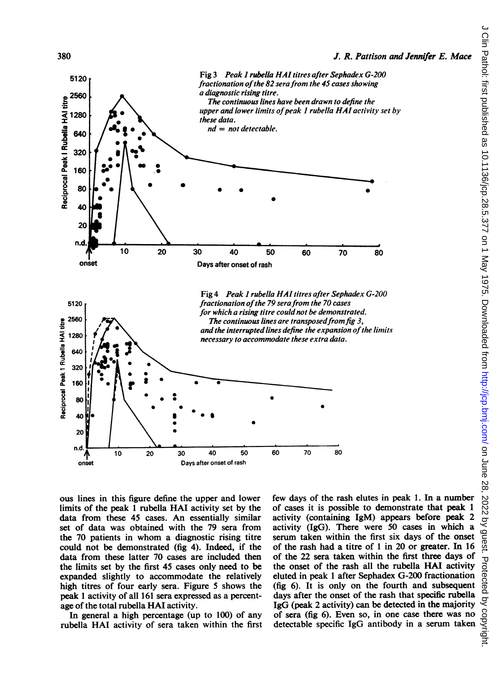

ous lines in this figure define the upper and lower limits of the peak <sup>1</sup> rubella HAI activity set by the data from these 45 cases. An essentially similar set of data was obtained with the 79 sera from the 70 patients in whom a diagnostic rising titre could not be demonstrated (fig 4). Indeed, if the data from these latter 70 cases are included then the limits set by the first 45 cases only need to be expanded slightly to accommodate the relatively high titres of four early sera. Figure 5 shows the peak <sup>1</sup> activity of all 161 sera expressed as a percentage of the total rubella HAI activity.

In general a high percentage (up to 100) of any rubella HAI activity of sera taken within the first few days of the rash elutes in peak 1. In a number of cases it is possible to demonstrate that peak <sup>1</sup> activity (containing IgM) appears before peak 2 activity (IgG). There were 50 cases in which a serum taken within the first six days of the onset of the rash had a titre of <sup>1</sup> in 20 or greater. In 16 of the 22 sera taken within the first three days of the onset of the rash all the rubella HAI activity eluted in peak <sup>1</sup> after Sephadex G-200 fractionation (fig 6). It is only on the fourth and subsequent days after the onset of the rash that specific rubella IgG (peak 2 activity) can be detected in the majority of sera (fig 6). Even so, in one case there was no detectable specific IgG antibody in a serum taken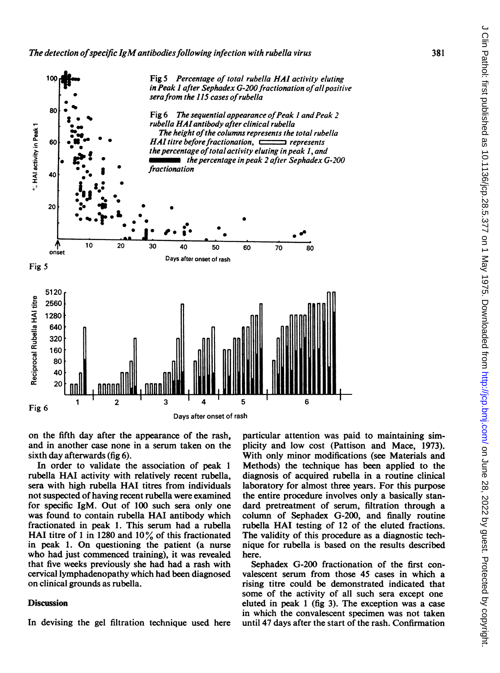

on the fifth day after the appearance of the rash, and in another case none in a serum taken on the sixth day afterwards (fig 6).

In order to validate the association of peak <sup>1</sup> rubella HAI activity with relatively recent rubella, sera with high rubella HAI titres from individuals not suspected of having recent rubella were examined for specific IgM. Out of 100 such sera only one was found to contain rubella HAI antibody which fractionated in peak 1. This serum had a rubella HAI titre of 1 in 1280 and  $10\%$  of this fractionated in peak 1. On questioning the patient (a nurse who had just commenced training), it was revealed that five weeks previously she had had a rash with cervical lymphadenopathy which had been diagnosed on clinical grounds as rubella.

# **Discussion**

In devising the gel filtration technique used here

particular attention was paid to maintaining simplicity and low cost (Pattison and Mace, 1973). With only minor modifications (see Materials and Methods) the technique has been applied to the diagnosis of acquired rubella in a routine clinical laboratory for almost three years. For this purpose the entire procedure involves only a basically standard pretreatment of serum, filtration through a column of Sephadex G-200, and finally routine rubella HAI testing of <sup>12</sup> of the eluted fractions. The validity of this procedure as a diagnostic technique for rubella is based on the results described here.

Sephadex G-200 fractionation of the first convalescent serum from those 45 cases in which a rising titre could be demonstrated indicated that some of the activity of all such sera except one eluted in peak <sup>1</sup> (fig 3). The exception was a case in which the convalescent specimen was not taken until 47 days after the start of the rash. Confirmation